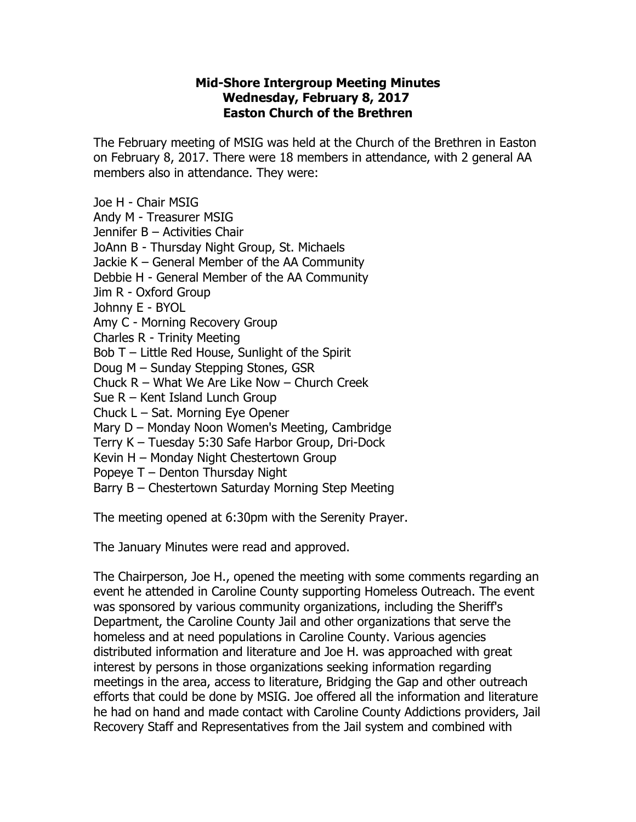## **Mid-Shore Intergroup Meeting Minutes Wednesday, February 8, 2017 Easton Church of the Brethren**

The February meeting of MSIG was held at the Church of the Brethren in Easton on February 8, 2017. There were 18 members in attendance, with 2 general AA members also in attendance. They were:

Joe H - Chair MSIG

Andy M - Treasurer MSIG

Jennifer B – Activities Chair

JoAnn B - Thursday Night Group, St. Michaels

Jackie K – General Member of the AA Community

Debbie H - General Member of the AA Community

Jim R - Oxford Group

Johnny E - BYOL

Amy C - Morning Recovery Group

Charles R - Trinity Meeting

Bob T – Little Red House, Sunlight of the Spirit

Doug M – Sunday Stepping Stones, GSR

Chuck R – What We Are Like Now – Church Creek

Sue R – Kent Island Lunch Group

Chuck L – Sat. Morning Eye Opener

Mary D – Monday Noon Women's Meeting, Cambridge

Terry K – Tuesday 5:30 Safe Harbor Group, Dri-Dock

Kevin H – Monday Night Chestertown Group

Popeye T – Denton Thursday Night

Barry B – Chestertown Saturday Morning Step Meeting

The meeting opened at 6:30pm with the Serenity Prayer.

The January Minutes were read and approved.

The Chairperson, Joe H., opened the meeting with some comments regarding an event he attended in Caroline County supporting Homeless Outreach. The event was sponsored by various community organizations, including the Sheriff's Department, the Caroline County Jail and other organizations that serve the homeless and at need populations in Caroline County. Various agencies distributed information and literature and Joe H. was approached with great interest by persons in those organizations seeking information regarding meetings in the area, access to literature, Bridging the Gap and other outreach efforts that could be done by MSIG. Joe offered all the information and literature he had on hand and made contact with Caroline County Addictions providers, Jail Recovery Staff and Representatives from the Jail system and combined with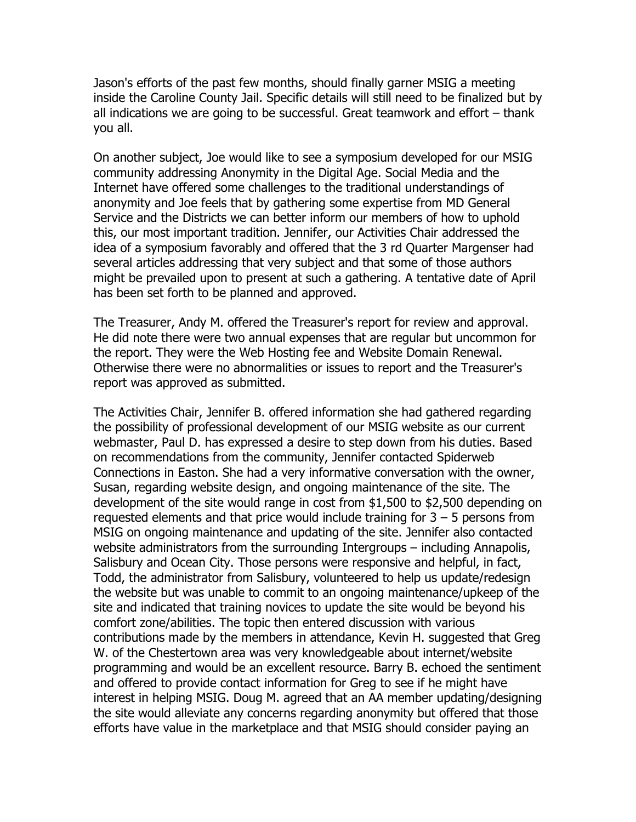Jason's efforts of the past few months, should finally garner MSIG a meeting inside the Caroline County Jail. Specific details will still need to be finalized but by all indications we are going to be successful. Great teamwork and effort – thank you all.

On another subject, Joe would like to see a symposium developed for our MSIG community addressing Anonymity in the Digital Age. Social Media and the Internet have offered some challenges to the traditional understandings of anonymity and Joe feels that by gathering some expertise from MD General Service and the Districts we can better inform our members of how to uphold this, our most important tradition. Jennifer, our Activities Chair addressed the idea of a symposium favorably and offered that the 3 rd Quarter Margenser had several articles addressing that very subject and that some of those authors might be prevailed upon to present at such a gathering. A tentative date of April has been set forth to be planned and approved.

The Treasurer, Andy M. offered the Treasurer's report for review and approval. He did note there were two annual expenses that are regular but uncommon for the report. They were the Web Hosting fee and Website Domain Renewal. Otherwise there were no abnormalities or issues to report and the Treasurer's report was approved as submitted.

The Activities Chair, Jennifer B. offered information she had gathered regarding the possibility of professional development of our MSIG website as our current webmaster, Paul D. has expressed a desire to step down from his duties. Based on recommendations from the community, Jennifer contacted Spiderweb Connections in Easton. She had a very informative conversation with the owner, Susan, regarding website design, and ongoing maintenance of the site. The development of the site would range in cost from \$1,500 to \$2,500 depending on requested elements and that price would include training for  $3 - 5$  persons from MSIG on ongoing maintenance and updating of the site. Jennifer also contacted website administrators from the surrounding Intergroups – including Annapolis, Salisbury and Ocean City. Those persons were responsive and helpful, in fact, Todd, the administrator from Salisbury, volunteered to help us update/redesign the website but was unable to commit to an ongoing maintenance/upkeep of the site and indicated that training novices to update the site would be beyond his comfort zone/abilities. The topic then entered discussion with various contributions made by the members in attendance, Kevin H. suggested that Greg W. of the Chestertown area was very knowledgeable about internet/website programming and would be an excellent resource. Barry B. echoed the sentiment and offered to provide contact information for Greg to see if he might have interest in helping MSIG. Doug M. agreed that an AA member updating/designing the site would alleviate any concerns regarding anonymity but offered that those efforts have value in the marketplace and that MSIG should consider paying an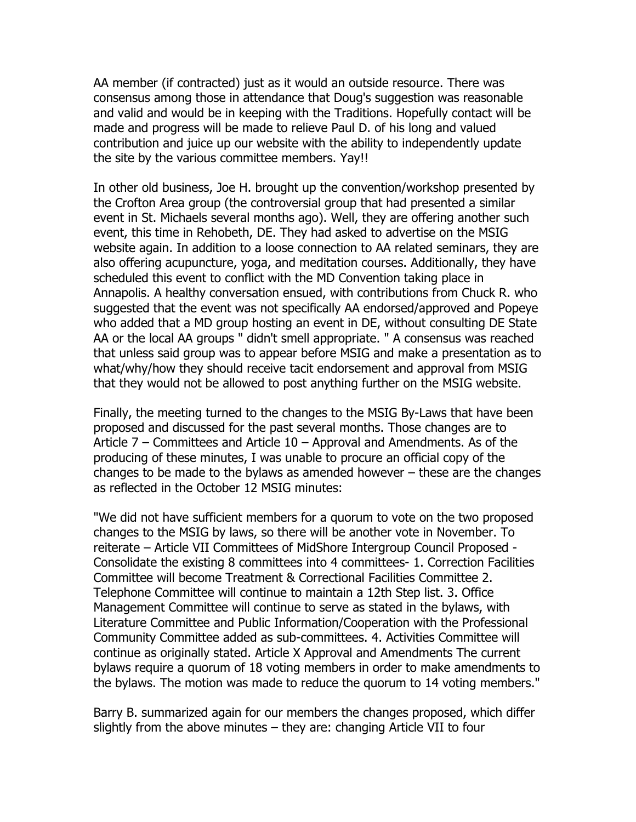AA member (if contracted) just as it would an outside resource. There was consensus among those in attendance that Doug's suggestion was reasonable and valid and would be in keeping with the Traditions. Hopefully contact will be made and progress will be made to relieve Paul D. of his long and valued contribution and juice up our website with the ability to independently update the site by the various committee members. Yay!!

In other old business, Joe H. brought up the convention/workshop presented by the Crofton Area group (the controversial group that had presented a similar event in St. Michaels several months ago). Well, they are offering another such event, this time in Rehobeth, DE. They had asked to advertise on the MSIG website again. In addition to a loose connection to AA related seminars, they are also offering acupuncture, yoga, and meditation courses. Additionally, they have scheduled this event to conflict with the MD Convention taking place in Annapolis. A healthy conversation ensued, with contributions from Chuck R. who suggested that the event was not specifically AA endorsed/approved and Popeye who added that a MD group hosting an event in DE, without consulting DE State AA or the local AA groups " didn't smell appropriate. " A consensus was reached that unless said group was to appear before MSIG and make a presentation as to what/why/how they should receive tacit endorsement and approval from MSIG that they would not be allowed to post anything further on the MSIG website.

Finally, the meeting turned to the changes to the MSIG By-Laws that have been proposed and discussed for the past several months. Those changes are to Article 7 – Committees and Article 10 – Approval and Amendments. As of the producing of these minutes, I was unable to procure an official copy of the changes to be made to the bylaws as amended however – these are the changes as reflected in the October 12 MSIG minutes:

"We did not have sufficient members for a quorum to vote on the two proposed changes to the MSIG by laws, so there will be another vote in November. To reiterate – Article VII Committees of MidShore Intergroup Council Proposed - Consolidate the existing 8 committees into 4 committees- 1. Correction Facilities Committee will become Treatment & Correctional Facilities Committee 2. Telephone Committee will continue to maintain a 12th Step list. 3. Office Management Committee will continue to serve as stated in the bylaws, with Literature Committee and Public Information/Cooperation with the Professional Community Committee added as sub-committees. 4. Activities Committee will continue as originally stated. Article X Approval and Amendments The current bylaws require a quorum of 18 voting members in order to make amendments to the bylaws. The motion was made to reduce the quorum to 14 voting members."

Barry B. summarized again for our members the changes proposed, which differ slightly from the above minutes – they are: changing Article VII to four